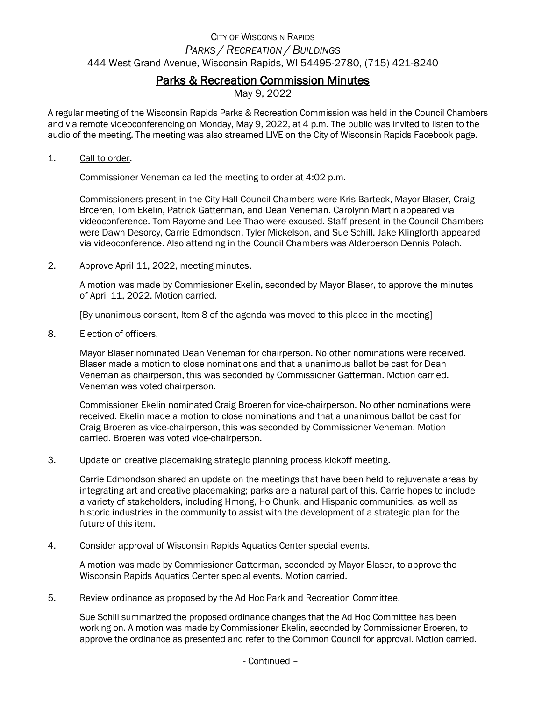# CITY OF WISCONSIN RAPIDS *PARKS / RECREATION / BUILDINGS* 444 West Grand Avenue, Wisconsin Rapids, WI 54495-2780, (715) 421-8240

## Parks & Recreation Commission Minutes

May 9, 2022

A regular meeting of the Wisconsin Rapids Parks & Recreation Commission was held in the Council Chambers and via remote videoconferencing on Monday, May 9, 2022, at 4 p.m. The public was invited to listen to the audio of the meeting. The meeting was also streamed LIVE on the City of Wisconsin Rapids Facebook page.

## 1. Call to order.

Commissioner Veneman called the meeting to order at 4:02 p.m.

Commissioners present in the City Hall Council Chambers were Kris Barteck, Mayor Blaser, Craig Broeren, Tom Ekelin, Patrick Gatterman, and Dean Veneman. Carolynn Martin appeared via videoconference. Tom Rayome and Lee Thao were excused. Staff present in the Council Chambers were Dawn Desorcy, Carrie Edmondson, Tyler Mickelson, and Sue Schill. Jake Klingforth appeared via videoconference. Also attending in the Council Chambers was Alderperson Dennis Polach.

## 2. Approve April 11, 2022, meeting minutes.

A motion was made by Commissioner Ekelin, seconded by Mayor Blaser, to approve the minutes of April 11, 2022. Motion carried.

[By unanimous consent, Item 8 of the agenda was moved to this place in the meeting]

8. Election of officers.

Mayor Blaser nominated Dean Veneman for chairperson. No other nominations were received. Blaser made a motion to close nominations and that a unanimous ballot be cast for Dean Veneman as chairperson, this was seconded by Commissioner Gatterman. Motion carried. Veneman was voted chairperson.

Commissioner Ekelin nominated Craig Broeren for vice-chairperson. No other nominations were received. Ekelin made a motion to close nominations and that a unanimous ballot be cast for Craig Broeren as vice-chairperson, this was seconded by Commissioner Veneman. Motion carried. Broeren was voted vice-chairperson.

#### 3. Update on creative placemaking strategic planning process kickoff meeting.

Carrie Edmondson shared an update on the meetings that have been held to rejuvenate areas by integrating art and creative placemaking; parks are a natural part of this. Carrie hopes to include a variety of stakeholders, including Hmong, Ho Chunk, and Hispanic communities, as well as historic industries in the community to assist with the development of a strategic plan for the future of this item.

## 4. Consider approval of Wisconsin Rapids Aquatics Center special events.

A motion was made by Commissioner Gatterman, seconded by Mayor Blaser, to approve the Wisconsin Rapids Aquatics Center special events. Motion carried.

#### 5. Review ordinance as proposed by the Ad Hoc Park and Recreation Committee.

Sue Schill summarized the proposed ordinance changes that the Ad Hoc Committee has been working on. A motion was made by Commissioner Ekelin, seconded by Commissioner Broeren, to approve the ordinance as presented and refer to the Common Council for approval. Motion carried.